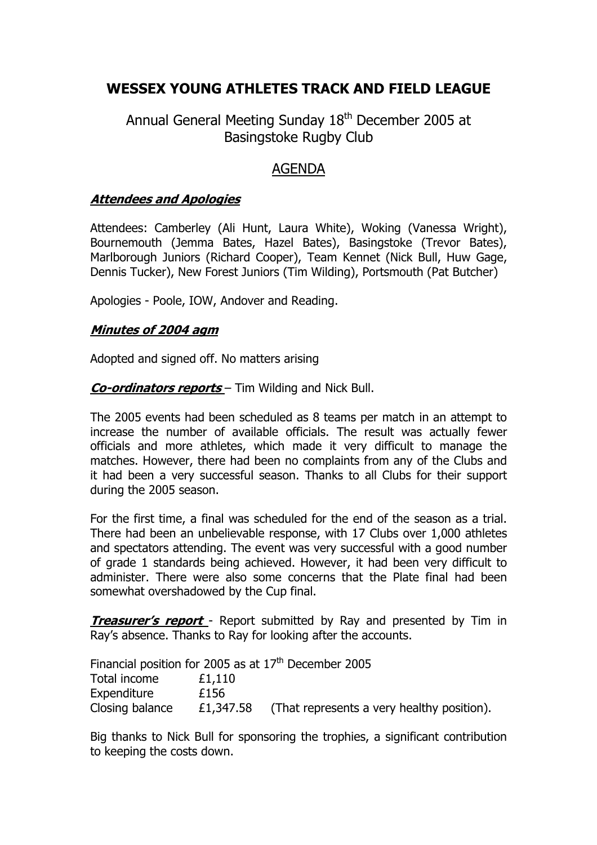# **WESSEX YOUNG ATHLETES TRACK AND FIELD LEAGUE**

Annual General Meeting Sunday 18<sup>th</sup> December 2005 at Basingstoke Rugby Club

# AGENDA

#### **Attendees and Apologies**

Attendees: Camberley (Ali Hunt, Laura White), Woking (Vanessa Wright), Bournemouth (Jemma Bates, Hazel Bates), Basingstoke (Trevor Bates), Marlborough Juniors (Richard Cooper), Team Kennet (Nick Bull, Huw Gage, Dennis Tucker), New Forest Juniors (Tim Wilding), Portsmouth (Pat Butcher)

Apologies - Poole, IOW, Andover and Reading.

#### **Minutes of 2004 agm**

Adopted and signed off. No matters arising

**Co-ordinators reports** – Tim Wilding and Nick Bull.

The 2005 events had been scheduled as 8 teams per match in an attempt to increase the number of available officials. The result was actually fewer officials and more athletes, which made it very difficult to manage the matches. However, there had been no complaints from any of the Clubs and it had been a very successful season. Thanks to all Clubs for their support during the 2005 season.

For the first time, a final was scheduled for the end of the season as a trial. There had been an unbelievable response, with 17 Clubs over 1,000 athletes and spectators attending. The event was very successful with a good number of grade 1 standards being achieved. However, it had been very difficult to administer. There were also some concerns that the Plate final had been somewhat overshadowed by the Cup final.

**Treasurer's report** - Report submitted by Ray and presented by Tim in Ray's absence. Thanks to Ray for looking after the accounts.

Financial position for 2005 as at  $17<sup>th</sup>$  December 2005 Total income £1,110 Expenditure £156 Closing balance  $\qquad$  £1,347.58 (That represents a very healthy position).

Big thanks to Nick Bull for sponsoring the trophies, a significant contribution to keeping the costs down.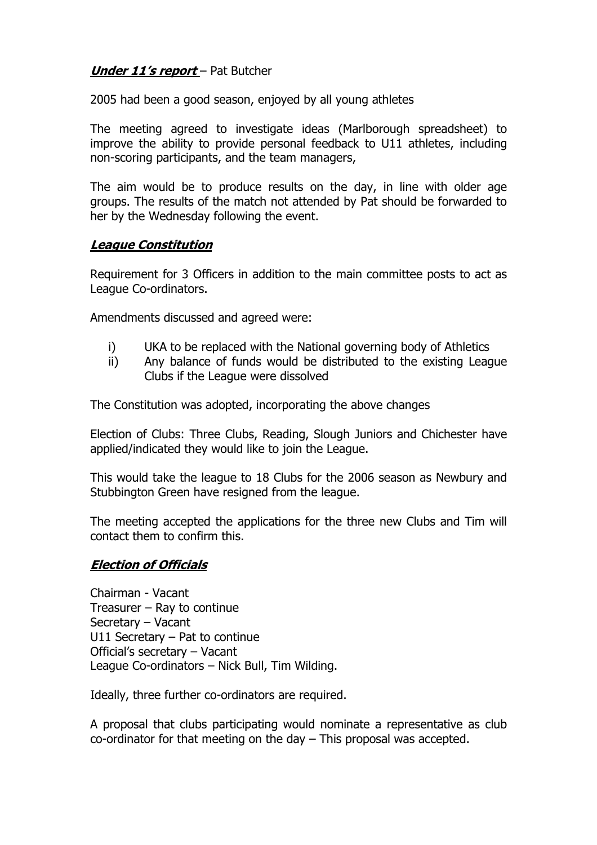### **Under 11's report** – Pat Butcher

2005 had been a good season, enjoyed by all young athletes

The meeting agreed to investigate ideas (Marlborough spreadsheet) to improve the ability to provide personal feedback to U11 athletes, including non-scoring participants, and the team managers,

The aim would be to produce results on the day, in line with older age groups. The results of the match not attended by Pat should be forwarded to her by the Wednesday following the event.

#### **League Constitution**

Requirement for 3 Officers in addition to the main committee posts to act as League Co-ordinators.

Amendments discussed and agreed were:

- i) UKA to be replaced with the National governing body of Athletics
- ii) Any balance of funds would be distributed to the existing League Clubs if the League were dissolved

The Constitution was adopted, incorporating the above changes

Election of Clubs: Three Clubs, Reading, Slough Juniors and Chichester have applied/indicated they would like to join the League.

This would take the league to 18 Clubs for the 2006 season as Newbury and Stubbington Green have resigned from the league.

The meeting accepted the applications for the three new Clubs and Tim will contact them to confirm this.

### **Election of Officials**

Chairman - Vacant Treasurer – Ray to continue Secretary – Vacant U11 Secretary – Pat to continue Official's secretary – Vacant League Co-ordinators – Nick Bull, Tim Wilding.

Ideally, three further co-ordinators are required.

A proposal that clubs participating would nominate a representative as club co-ordinator for that meeting on the day – This proposal was accepted.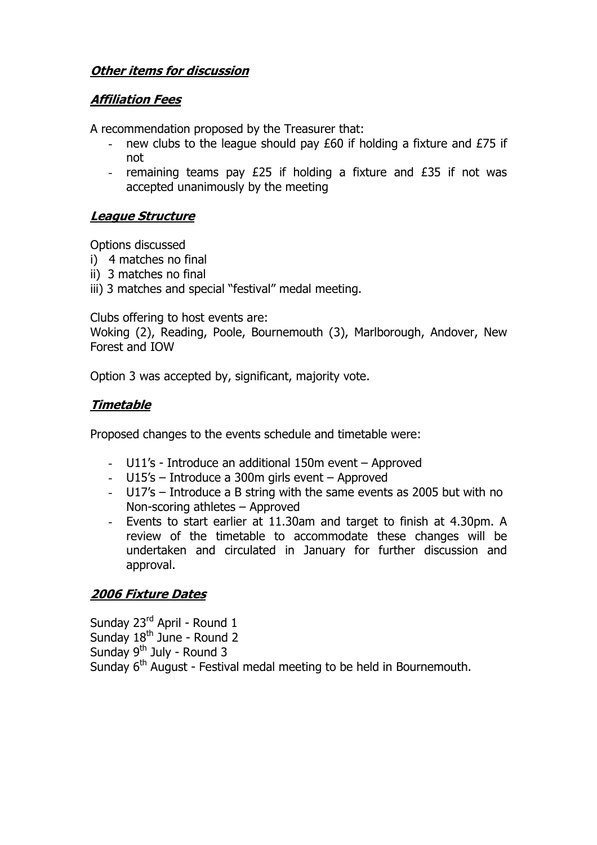### **Other items for discussion**

### **Affiliation Fees**

A recommendation proposed by the Treasurer that:

- new clubs to the league should pay £60 if holding a fixture and £75 if not
- remaining teams pay £25 if holding a fixture and £35 if not was accepted unanimously by the meeting

#### **League Structure**

Options discussed

- i) 4 matches no final
- ii) 3 matches no final
- iii) 3 matches and special "festival" medal meeting.

Clubs offering to host events are:

Woking (2), Reading, Poole, Bournemouth (3), Marlborough, Andover, New Forest and IOW

Option 3 was accepted by, significant, majority vote.

### **Timetable**

Proposed changes to the events schedule and timetable were:

- U11's Introduce an additional 150m event Approved
- U15's Introduce a 300m girls event Approved
- U17's Introduce a B string with the same events as 2005 but with no Non-scoring athletes – Approved
- Events to start earlier at 11.30am and target to finish at 4.30pm. A review of the timetable to accommodate these changes will be undertaken and circulated in January for further discussion and approval.

## **2006 Fixture Dates**

Sunday 23<sup>rd</sup> April - Round 1 Sunday 18<sup>th</sup> June - Round 2 Sunday  $9<sup>th</sup>$  July - Round 3 Sunday 6<sup>th</sup> August - Festival medal meeting to be held in Bournemouth.